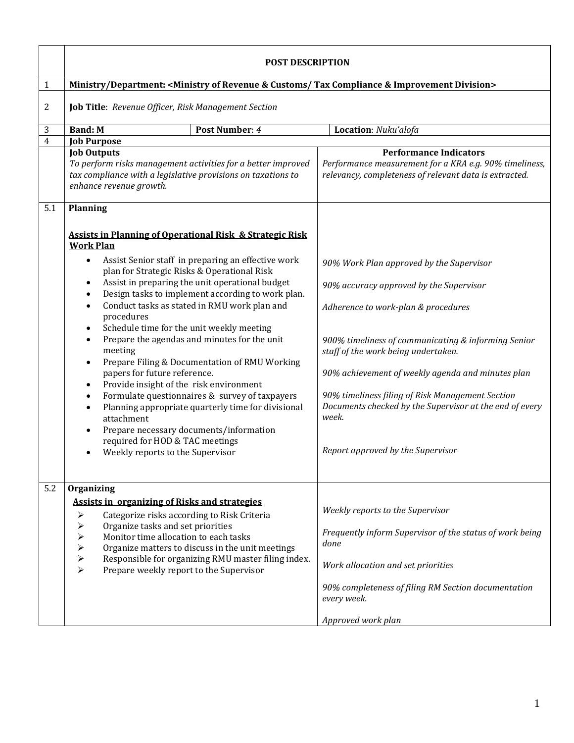|                         | <b>POST DESCRIPTION</b>                                                                                                                                                                                                                                                                                                                                                                                                                                                                                                                                                                                                                                                                                                                                                                                                                                                                                                                                                                       |                                                                                                                                                                                                                                                                                                                                                                                                                                            |
|-------------------------|-----------------------------------------------------------------------------------------------------------------------------------------------------------------------------------------------------------------------------------------------------------------------------------------------------------------------------------------------------------------------------------------------------------------------------------------------------------------------------------------------------------------------------------------------------------------------------------------------------------------------------------------------------------------------------------------------------------------------------------------------------------------------------------------------------------------------------------------------------------------------------------------------------------------------------------------------------------------------------------------------|--------------------------------------------------------------------------------------------------------------------------------------------------------------------------------------------------------------------------------------------------------------------------------------------------------------------------------------------------------------------------------------------------------------------------------------------|
| $\mathbf{1}$            | Ministry/Department: <ministry &="" compliance="" customs="" division="" improvement="" of="" revenue="" tax=""></ministry>                                                                                                                                                                                                                                                                                                                                                                                                                                                                                                                                                                                                                                                                                                                                                                                                                                                                   |                                                                                                                                                                                                                                                                                                                                                                                                                                            |
| 2                       | Job Title: Revenue Officer, Risk Management Section                                                                                                                                                                                                                                                                                                                                                                                                                                                                                                                                                                                                                                                                                                                                                                                                                                                                                                                                           |                                                                                                                                                                                                                                                                                                                                                                                                                                            |
| 3                       | <b>Band: M</b><br>Post Number: 4                                                                                                                                                                                                                                                                                                                                                                                                                                                                                                                                                                                                                                                                                                                                                                                                                                                                                                                                                              | Location: Nuku'alofa                                                                                                                                                                                                                                                                                                                                                                                                                       |
| $\overline{\mathbf{4}}$ | <b>Job Purpose</b>                                                                                                                                                                                                                                                                                                                                                                                                                                                                                                                                                                                                                                                                                                                                                                                                                                                                                                                                                                            |                                                                                                                                                                                                                                                                                                                                                                                                                                            |
|                         | <b>Job Outputs</b><br>To perform risks management activities for a better improved<br>tax compliance with a legislative provisions on taxations to<br>enhance revenue growth.                                                                                                                                                                                                                                                                                                                                                                                                                                                                                                                                                                                                                                                                                                                                                                                                                 | <b>Performance Indicators</b><br>Performance measurement for a KRA e.g. 90% timeliness,<br>relevancy, completeness of relevant data is extracted.                                                                                                                                                                                                                                                                                          |
| 5.1                     | <b>Planning</b>                                                                                                                                                                                                                                                                                                                                                                                                                                                                                                                                                                                                                                                                                                                                                                                                                                                                                                                                                                               |                                                                                                                                                                                                                                                                                                                                                                                                                                            |
|                         | <b>Assists in Planning of Operational Risk &amp; Strategic Risk</b><br><b>Work Plan</b><br>Assist Senior staff in preparing an effective work<br>$\bullet$<br>plan for Strategic Risks & Operational Risk<br>Assist in preparing the unit operational budget<br>$\bullet$<br>Design tasks to implement according to work plan.<br>$\bullet$<br>Conduct tasks as stated in RMU work plan and<br>$\bullet$<br>procedures<br>Schedule time for the unit weekly meeting<br>$\bullet$<br>Prepare the agendas and minutes for the unit<br>$\bullet$<br>meeting<br>Prepare Filing & Documentation of RMU Working<br>$\bullet$<br>papers for future reference.<br>Provide insight of the risk environment<br>$\bullet$<br>Formulate questionnaires & survey of taxpayers<br>$\bullet$<br>Planning appropriate quarterly time for divisional<br>$\bullet$<br>attachment<br>Prepare necessary documents/information<br>$\bullet$<br>required for HOD & TAC meetings<br>Weekly reports to the Supervisor | 90% Work Plan approved by the Supervisor<br>90% accuracy approved by the Supervisor<br>Adherence to work-plan & procedures<br>900% timeliness of communicating & informing Senior<br>staff of the work being undertaken.<br>90% achievement of weekly agenda and minutes plan<br>90% timeliness filing of Risk Management Section<br>Documents checked by the Supervisor at the end of every<br>week.<br>Report approved by the Supervisor |
| 5.2                     | Organizing                                                                                                                                                                                                                                                                                                                                                                                                                                                                                                                                                                                                                                                                                                                                                                                                                                                                                                                                                                                    |                                                                                                                                                                                                                                                                                                                                                                                                                                            |
|                         | <b>Assists in organizing of Risks and strategies</b><br>Categorize risks according to Risk Criteria<br>➤<br>Organize tasks and set priorities<br>➤<br>Monitor time allocation to each tasks<br>➤<br>Organize matters to discuss in the unit meetings<br>➤<br>Responsible for organizing RMU master filing index.<br>⋗<br>Prepare weekly report to the Supervisor<br>⋗                                                                                                                                                                                                                                                                                                                                                                                                                                                                                                                                                                                                                         | Weekly reports to the Supervisor<br>Frequently inform Supervisor of the status of work being<br>done<br>Work allocation and set priorities<br>90% completeness of filing RM Section documentation<br>every week.<br>Approved work plan                                                                                                                                                                                                     |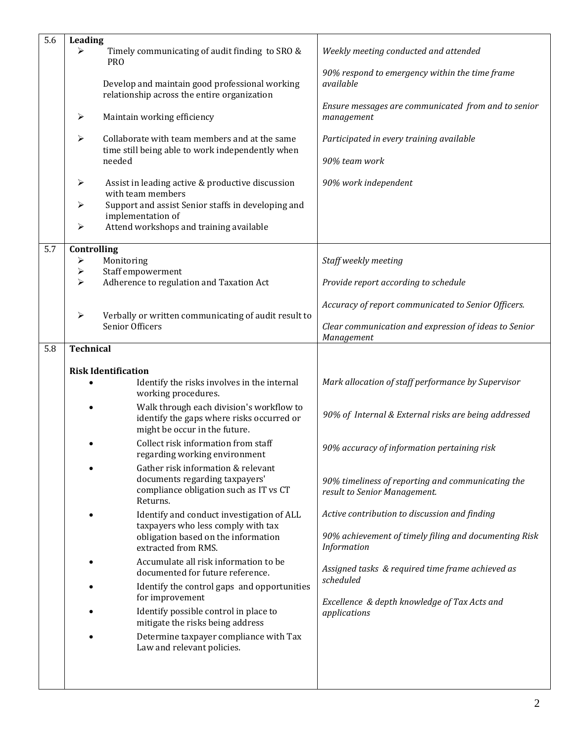| Controlling<br>5.7<br>Monitoring<br>Staff weekly meeting<br>➤<br>Staff empowerment<br>➤<br>Adherence to regulation and Taxation Act<br>↘<br>Provide report according to schedule<br>$\blacktriangleright$<br>Verbally or written communicating of audit result to<br>Senior Officers<br>Management<br><b>Technical</b><br>5.8<br><b>Risk Identification</b><br>Identify the risks involves in the internal<br>working procedures.<br>Walk through each division's workflow to                                                                                                                                                                                                                                                                                                                                                                                                                                                                                            | 5.6 | Leading<br>Timely communicating of audit finding to SRO &<br><b>PRO</b><br>Develop and maintain good professional working<br>relationship across the entire organization<br>$\blacktriangleright$<br>Maintain working efficiency<br>Collaborate with team members and at the same<br>$\blacktriangleright$<br>time still being able to work independently when<br>needed<br>Assist in leading active & productive discussion<br>➤<br>with team members<br>Support and assist Senior staffs in developing and<br>➤<br>implementation of<br>Attend workshops and training available<br>➤ | Weekly meeting conducted and attended<br>90% respond to emergency within the time frame<br>available<br>Ensure messages are communicated from and to senior<br>management<br>Participated in every training available<br>90% team work<br>90% work independent |
|--------------------------------------------------------------------------------------------------------------------------------------------------------------------------------------------------------------------------------------------------------------------------------------------------------------------------------------------------------------------------------------------------------------------------------------------------------------------------------------------------------------------------------------------------------------------------------------------------------------------------------------------------------------------------------------------------------------------------------------------------------------------------------------------------------------------------------------------------------------------------------------------------------------------------------------------------------------------------|-----|----------------------------------------------------------------------------------------------------------------------------------------------------------------------------------------------------------------------------------------------------------------------------------------------------------------------------------------------------------------------------------------------------------------------------------------------------------------------------------------------------------------------------------------------------------------------------------------|----------------------------------------------------------------------------------------------------------------------------------------------------------------------------------------------------------------------------------------------------------------|
|                                                                                                                                                                                                                                                                                                                                                                                                                                                                                                                                                                                                                                                                                                                                                                                                                                                                                                                                                                          |     |                                                                                                                                                                                                                                                                                                                                                                                                                                                                                                                                                                                        |                                                                                                                                                                                                                                                                |
|                                                                                                                                                                                                                                                                                                                                                                                                                                                                                                                                                                                                                                                                                                                                                                                                                                                                                                                                                                          |     |                                                                                                                                                                                                                                                                                                                                                                                                                                                                                                                                                                                        |                                                                                                                                                                                                                                                                |
|                                                                                                                                                                                                                                                                                                                                                                                                                                                                                                                                                                                                                                                                                                                                                                                                                                                                                                                                                                          |     |                                                                                                                                                                                                                                                                                                                                                                                                                                                                                                                                                                                        |                                                                                                                                                                                                                                                                |
|                                                                                                                                                                                                                                                                                                                                                                                                                                                                                                                                                                                                                                                                                                                                                                                                                                                                                                                                                                          |     |                                                                                                                                                                                                                                                                                                                                                                                                                                                                                                                                                                                        | Accuracy of report communicated to Senior Officers.                                                                                                                                                                                                            |
|                                                                                                                                                                                                                                                                                                                                                                                                                                                                                                                                                                                                                                                                                                                                                                                                                                                                                                                                                                          |     |                                                                                                                                                                                                                                                                                                                                                                                                                                                                                                                                                                                        | Clear communication and expression of ideas to Senior                                                                                                                                                                                                          |
|                                                                                                                                                                                                                                                                                                                                                                                                                                                                                                                                                                                                                                                                                                                                                                                                                                                                                                                                                                          |     |                                                                                                                                                                                                                                                                                                                                                                                                                                                                                                                                                                                        |                                                                                                                                                                                                                                                                |
| might be occur in the future.<br>Collect risk information from staff<br>90% accuracy of information pertaining risk<br>regarding working environment<br>Gather risk information & relevant<br>documents regarding taxpayers'<br>compliance obligation such as IT vs CT<br>result to Senior Management.<br>Returns.<br>Active contribution to discussion and finding<br>Identify and conduct investigation of ALL<br>taxpayers who less comply with tax<br>obligation based on the information<br>Information<br>extracted from RMS.<br>Accumulate all risk information to be<br>Assigned tasks & required time frame achieved as<br>documented for future reference.<br>scheduled<br>Identify the control gaps and opportunities<br>for improvement<br>Excellence & depth knowledge of Tax Acts and<br>Identify possible control in place to<br>applications<br>mitigate the risks being address<br>Determine taxpayer compliance with Tax<br>Law and relevant policies. |     | identify the gaps where risks occurred or                                                                                                                                                                                                                                                                                                                                                                                                                                                                                                                                              | Mark allocation of staff performance by Supervisor<br>90% of Internal & External risks are being addressed<br>90% timeliness of reporting and communicating the<br>90% achievement of timely filing and documenting Risk                                       |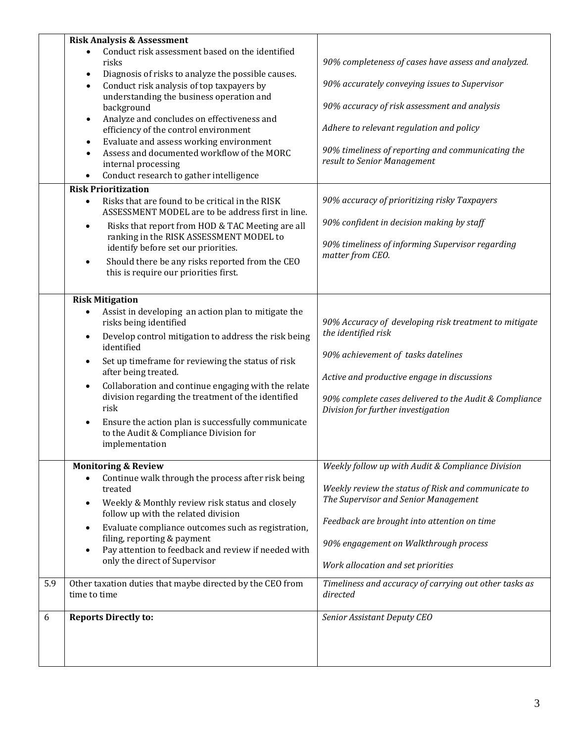|     | <b>Risk Analysis &amp; Assessment</b>                                                                                                                                                                                                                                                                                                                                                                                                                                                                                                                                                                                                                                                                                                                                                                                                                                                                                                                                |                                                                                                                                                                                                                                                                                                                                                                                                                                                           |
|-----|----------------------------------------------------------------------------------------------------------------------------------------------------------------------------------------------------------------------------------------------------------------------------------------------------------------------------------------------------------------------------------------------------------------------------------------------------------------------------------------------------------------------------------------------------------------------------------------------------------------------------------------------------------------------------------------------------------------------------------------------------------------------------------------------------------------------------------------------------------------------------------------------------------------------------------------------------------------------|-----------------------------------------------------------------------------------------------------------------------------------------------------------------------------------------------------------------------------------------------------------------------------------------------------------------------------------------------------------------------------------------------------------------------------------------------------------|
|     | Conduct risk assessment based on the identified<br>risks<br>Diagnosis of risks to analyze the possible causes.<br>$\bullet$<br>Conduct risk analysis of top taxpayers by<br>$\bullet$<br>understanding the business operation and<br>background<br>Analyze and concludes on effectiveness and<br>$\bullet$<br>efficiency of the control environment<br>Evaluate and assess working environment<br>$\bullet$<br>Assess and documented workflow of the MORC<br>$\bullet$<br>internal processing<br>Conduct research to gather intelligence<br>$\bullet$<br><b>Risk Prioritization</b><br>Risks that are found to be critical in the RISK<br>$\bullet$<br>ASSESSMENT MODEL are to be address first in line.<br>Risks that report from HOD & TAC Meeting are all<br>$\bullet$<br>ranking in the RISK ASSESSMENT MODEL to<br>identify before set our priorities.<br>Should there be any risks reported from the CEO<br>$\bullet$<br>this is require our priorities first. | 90% completeness of cases have assess and analyzed.<br>90% accurately conveying issues to Supervisor<br>90% accuracy of risk assessment and analysis<br>Adhere to relevant regulation and policy<br>90% timeliness of reporting and communicating the<br>result to Senior Management<br>90% accuracy of prioritizing risky Taxpayers<br>90% confident in decision making by staff<br>90% timeliness of informing Supervisor regarding<br>matter from CEO. |
|     | <b>Risk Mitigation</b><br>Assist in developing an action plan to mitigate the<br>$\bullet$<br>risks being identified<br>Develop control mitigation to address the risk being<br>$\bullet$<br>identified<br>Set up timeframe for reviewing the status of risk<br>$\bullet$<br>after being treated.<br>Collaboration and continue engaging with the relate<br>$\bullet$<br>division regarding the treatment of the identified<br>risk<br>Ensure the action plan is successfully communicate<br>$\bullet$<br>to the Audit & Compliance Division for<br>implementation                                                                                                                                                                                                                                                                                                                                                                                                   | 90% Accuracy of developing risk treatment to mitigate<br>the identified risk<br>90% achievement of tasks datelines<br>Active and productive engage in discussions<br>90% complete cases delivered to the Audit & Compliance<br>Division for further investigation                                                                                                                                                                                         |
| 5.9 | <b>Monitoring &amp; Review</b><br>Continue walk through the process after risk being<br>treated<br>Weekly & Monthly review risk status and closely<br>$\bullet$<br>follow up with the related division<br>Evaluate compliance outcomes such as registration,<br>$\bullet$<br>filing, reporting & payment<br>Pay attention to feedback and review if needed with<br>$\bullet$<br>only the direct of Supervisor<br>Other taxation duties that maybe directed by the CEO from                                                                                                                                                                                                                                                                                                                                                                                                                                                                                           | Weekly follow up with Audit & Compliance Division<br>Weekly review the status of Risk and communicate to<br>The Supervisor and Senior Management<br>Feedback are brought into attention on time<br>90% engagement on Walkthrough process<br>Work allocation and set priorities<br>Timeliness and accuracy of carrying out other tasks as                                                                                                                  |
| 6   | time to time<br><b>Reports Directly to:</b>                                                                                                                                                                                                                                                                                                                                                                                                                                                                                                                                                                                                                                                                                                                                                                                                                                                                                                                          | directed<br>Senior Assistant Deputy CEO                                                                                                                                                                                                                                                                                                                                                                                                                   |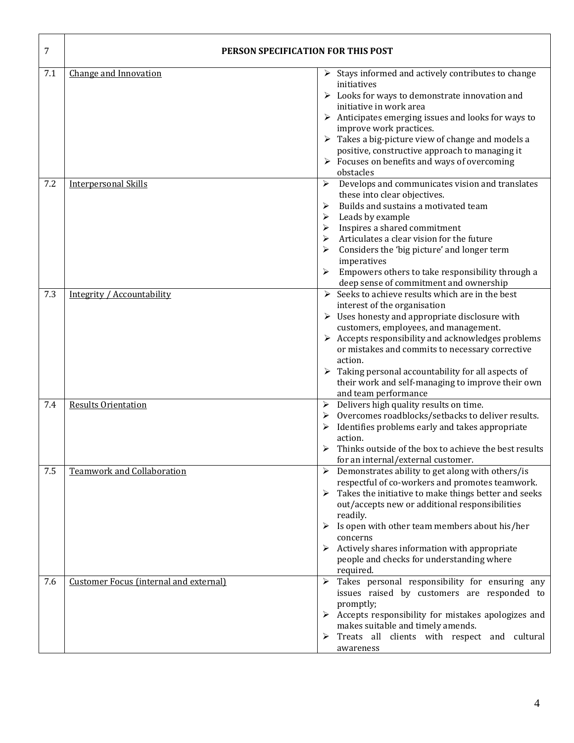| 7   | <b>PERSON SPECIFICATION FOR THIS POST</b> |                                                                                                                                                                                                                                                                                                                                                                                                                                                                                                 |
|-----|-------------------------------------------|-------------------------------------------------------------------------------------------------------------------------------------------------------------------------------------------------------------------------------------------------------------------------------------------------------------------------------------------------------------------------------------------------------------------------------------------------------------------------------------------------|
| 7.1 | Change and Innovation                     | $\triangleright$ Stays informed and actively contributes to change<br>initiatives<br>> Looks for ways to demonstrate innovation and<br>initiative in work area<br>$\triangleright$ Anticipates emerging issues and looks for ways to<br>improve work practices.<br>$\triangleright$ Takes a big-picture view of change and models a<br>positive, constructive approach to managing it<br>$\triangleright$ Focuses on benefits and ways of overcoming                                            |
| 7.2 | <b>Interpersonal Skills</b>               | obstacles<br>Develops and communicates vision and translates<br>➤<br>these into clear objectives.<br>Builds and sustains a motivated team<br>➤<br>Leads by example<br>➤                                                                                                                                                                                                                                                                                                                         |
|     |                                           | Inspires a shared commitment<br>⋗<br>Articulates a clear vision for the future<br>⋗<br>Considers the 'big picture' and longer term<br>imperatives<br>Empowers others to take responsibility through a<br>deep sense of commitment and ownership                                                                                                                                                                                                                                                 |
| 7.3 | Integrity / Accountability                | $\triangleright$ Seeks to achieve results which are in the best<br>interest of the organisation<br>$\triangleright$ Uses honesty and appropriate disclosure with<br>customers, employees, and management.<br>$\triangleright$ Accepts responsibility and acknowledges problems<br>or mistakes and commits to necessary corrective<br>action.<br>$\triangleright$ Taking personal accountability for all aspects of<br>their work and self-managing to improve their own<br>and team performance |
| 7.4 | <b>Results Orientation</b>                | Delivers high quality results on time.<br>➤<br>Overcomes roadblocks/setbacks to deliver results.<br>Identifies problems early and takes appropriate<br>action.<br>Thinks outside of the box to achieve the best results<br>for an internal/external customer.                                                                                                                                                                                                                                   |
| 7.5 | <b>Teamwork and Collaboration</b>         | $\triangleright$ Demonstrates ability to get along with others/is<br>respectful of co-workers and promotes teamwork.<br>$\triangleright$ Takes the initiative to make things better and seeks<br>out/accepts new or additional responsibilities<br>readily.<br>$\triangleright$ Is open with other team members about his/her<br>concerns<br>Actively shares information with appropriate<br>➤<br>people and checks for understanding where<br>required.                                        |
| 7.6 | Customer Focus (internal and external)    | Takes personal responsibility for ensuring any<br>➤<br>issues raised by customers are responded to<br>promptly;<br>$\triangleright$ Accepts responsibility for mistakes apologizes and<br>makes suitable and timely amends.<br>Treats all clients with respect and cultural<br>awareness                                                                                                                                                                                                        |